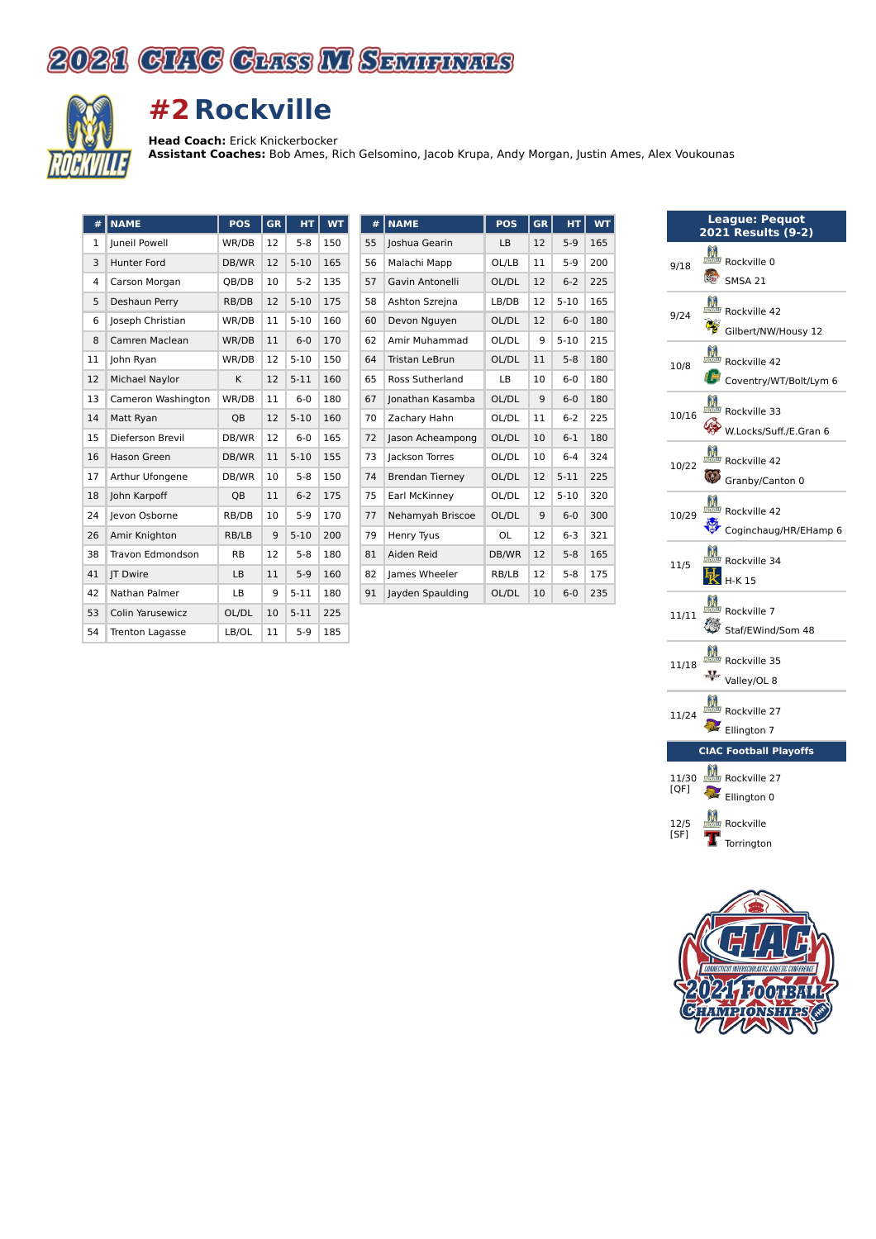



## **#2 Rockville**

**Head Coach:** Erick Knickerbocker

**Assistant Coaches:** Bob Ames, Rich Gelsomino, Jacob Krupa, Andy Morgan, Justin Ames, Alex Voukounas

| #  | <b>NAME</b>             | POS       | <b>GR</b> | HT       | <b>WT</b> |
|----|-------------------------|-----------|-----------|----------|-----------|
| 1  | Juneil Powell           | WR/DB     | 12        | $5 - 8$  | 150       |
| 3  | Hunter Ford             | DB/WR     | 12        | $5 - 10$ | 165       |
| 4  | Carson Morgan           | QB/DB     | 10        | $5 - 2$  | 135       |
| 5  | Deshaun Perry           | RB/DB     | 12        | $5 - 10$ | 175       |
| 6  | Joseph Christian        | WR/DB     | 11        | $5 - 10$ | 160       |
| 8  | Camren Maclean          | WR/DB     | 11        | $6 - 0$  | 170       |
| 11 | John Ryan               | WR/DB     | 12        | $5 - 10$ | 150       |
| 12 | Michael Naylor          | K         | 12        | $5 - 11$ | 160       |
| 13 | Cameron Washington      | WR/DB     | 11        | $6 - 0$  | 180       |
| 14 | Matt Ryan               | QB        | 12        | $5 - 10$ | 160       |
| 15 | Dieferson Brevil        | DB/WR     | 12        | $6 - 0$  | 165       |
| 16 | <b>Hason Green</b>      | DB/WR     | 11        | $5 - 10$ | 155       |
| 17 | Arthur Ufongene         | DB/WR     | 10        | $5 - 8$  | 150       |
| 18 | John Karpoff            | QB        | 11        | $6 - 2$  | 175       |
| 24 | Jevon Osborne           | RB/DB     | 10        | $5-9$    | 170       |
| 26 | Amir Knighton           | RB/LB     | 9         | $5 - 10$ | 200       |
| 38 | <b>Travon Edmondson</b> | <b>RB</b> | 12        | $5 - 8$  | 180       |
| 41 | <b>IT Dwire</b>         | LB        | 11        | $5-9$    | 160       |
| 42 | Nathan Palmer           | LB        | 9         | $5 - 11$ | 180       |
| 53 | Colin Yarusewicz        | OL/DL     | 10        | $5 - 11$ | 225       |
| 54 | <b>Trenton Lagasse</b>  | LB/OL     | 11        | $5-9$    | 185       |

| #  | <b>NAME</b>            | <b>POS</b> | <b>GR</b> | HТ       | WT  |
|----|------------------------|------------|-----------|----------|-----|
| 55 | Joshua Gearin          | LB         | 12        | $5-9$    | 165 |
| 56 | Malachi Mapp           | OL/LB      | 11        | $5-9$    | 200 |
| 57 | Gavin Antonelli        | OL/DL      | 12        | $6 - 2$  | 225 |
| 58 | Ashton Szrejna         | LB/DB      | 12        | $5 - 10$ | 165 |
| 60 | Devon Nguyen           | OL/DL      | 12        | $6 - 0$  | 180 |
| 62 | Amir Muhammad          | OL/DL      | 9         | $5 - 10$ | 215 |
| 64 | Tristan LeBrun         | OL/DL      | 11        | $5 - 8$  | 180 |
| 65 | Ross Sutherland        | LB         | 10        | $6 - 0$  | 180 |
| 67 | Jonathan Kasamba       | OL/DL      | 9         | $6 - 0$  | 180 |
| 70 | Zachary Hahn           | OL/DL      | 11        | $6 - 2$  | 225 |
| 72 | Jason Acheampong       | OL/DL      | 10        | $6 - 1$  | 180 |
| 73 | Jackson Torres         | OL/DL      | 10        | $6 - 4$  | 324 |
| 74 | <b>Brendan Tierney</b> | OL/DL      | 12        | $5 - 11$ | 225 |
| 75 | Earl McKinney          | OL/DL      | 12        | $5 - 10$ | 320 |
| 77 | Nehamyah Briscoe       | OL/DL      | 9         | $6-0$    | 300 |
| 79 | Henry Tyus             | OL         | 12        | $6 - 3$  | 321 |
| 81 | Aiden Reid             | DB/WR      | 12        | $5 - 8$  | 165 |
| 82 | James Wheeler          | RB/LB      | 12        | $5 - 8$  | 175 |
| 91 | Jayden Spaulding       | OL/DL      | 10        | $6 - 0$  | 235 |